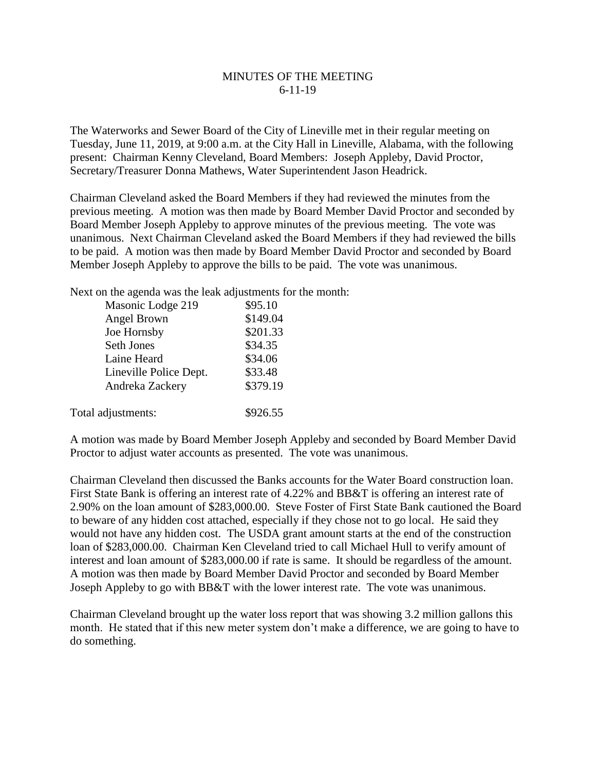## MINUTES OF THE MEETING 6-11-19

The Waterworks and Sewer Board of the City of Lineville met in their regular meeting on Tuesday, June 11, 2019, at 9:00 a.m. at the City Hall in Lineville, Alabama, with the following present: Chairman Kenny Cleveland, Board Members: Joseph Appleby, David Proctor, Secretary/Treasurer Donna Mathews, Water Superintendent Jason Headrick.

Chairman Cleveland asked the Board Members if they had reviewed the minutes from the previous meeting. A motion was then made by Board Member David Proctor and seconded by Board Member Joseph Appleby to approve minutes of the previous meeting. The vote was unanimous. Next Chairman Cleveland asked the Board Members if they had reviewed the bills to be paid. A motion was then made by Board Member David Proctor and seconded by Board Member Joseph Appleby to approve the bills to be paid. The vote was unanimous.

Next on the agenda was the leak adjustments for the month:

| Masonic Lodge 219      | \$95.10  |
|------------------------|----------|
| Angel Brown            | \$149.04 |
| Joe Hornsby            | \$201.33 |
| <b>Seth Jones</b>      | \$34.35  |
| Laine Heard            | \$34.06  |
| Lineville Police Dept. | \$33.48  |
| Andreka Zackery        | \$379.19 |
|                        |          |
| Total adjustments:     | \$926.55 |

A motion was made by Board Member Joseph Appleby and seconded by Board Member David Proctor to adjust water accounts as presented. The vote was unanimous.

Chairman Cleveland then discussed the Banks accounts for the Water Board construction loan. First State Bank is offering an interest rate of 4.22% and BB&T is offering an interest rate of 2.90% on the loan amount of \$283,000.00. Steve Foster of First State Bank cautioned the Board to beware of any hidden cost attached, especially if they chose not to go local. He said they would not have any hidden cost. The USDA grant amount starts at the end of the construction loan of \$283,000.00. Chairman Ken Cleveland tried to call Michael Hull to verify amount of interest and loan amount of \$283,000.00 if rate is same. It should be regardless of the amount. A motion was then made by Board Member David Proctor and seconded by Board Member Joseph Appleby to go with BB&T with the lower interest rate. The vote was unanimous.

Chairman Cleveland brought up the water loss report that was showing 3.2 million gallons this month. He stated that if this new meter system don't make a difference, we are going to have to do something.